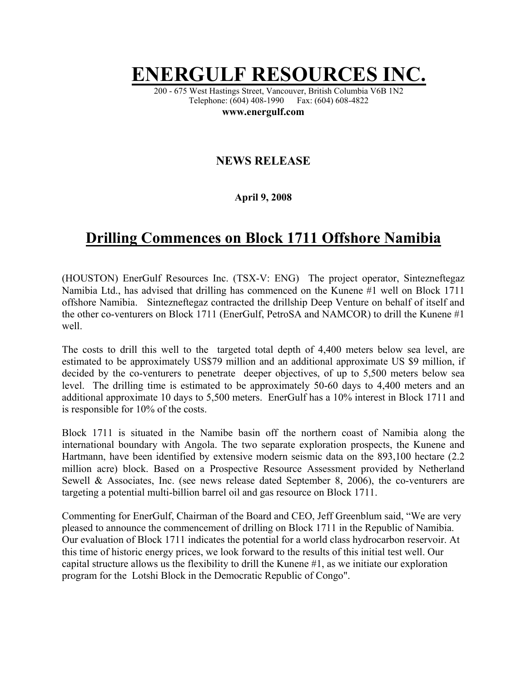## **ENERGULF RESOURCES**

200 - 675 West Hastings Street, Vancouver, British Columbia V6B 1N2 Telephone: (604) 408-1990 Fax: (604) 608-4822

**www.energulf.com** 

## **NEWS RELEASE**

**April 9, 2008** 

## **Drilling Commences on Block 1711 Offshore Namibia**

(HOUSTON) EnerGulf Resources Inc. (TSX-V: ENG) The project operator, Sintezneftegaz Namibia Ltd., has advised that drilling has commenced on the Kunene #1 well on Block 1711 offshore Namibia. Sintezneftegaz contracted the drillship Deep Venture on behalf of itself and the other co-venturers on Block 1711 (EnerGulf, PetroSA and NAMCOR) to drill the Kunene #1 well.

The costs to drill this well to the targeted total depth of 4,400 meters below sea level, are estimated to be approximately US\$79 million and an additional approximate US \$9 million, if decided by the co-venturers to penetrate deeper objectives, of up to 5,500 meters below sea level. The drilling time is estimated to be approximately 50-60 days to 4,400 meters and an additional approximate 10 days to 5,500 meters. EnerGulf has a 10% interest in Block 1711 and is responsible for 10% of the costs.

Block 1711 is situated in the Namibe basin off the northern coast of Namibia along the international boundary with Angola. The two separate exploration prospects, the Kunene and Hartmann, have been identified by extensive modern seismic data on the 893,100 hectare (2.2 million acre) block. Based on a Prospective Resource Assessment provided by Netherland Sewell & Associates, Inc. (see news release dated September 8, 2006), the co-venturers are targeting a potential multi-billion barrel oil and gas resource on Block 1711.

Commenting for EnerGulf, Chairman of the Board and CEO, Jeff Greenblum said, "We are very pleased to announce the commencement of drilling on Block 1711 in the Republic of Namibia. Our evaluation of Block 1711 indicates the potential for a world class hydrocarbon reservoir. At this time of historic energy prices, we look forward to the results of this initial test well. Our capital structure allows us the flexibility to drill the Kunene #1, as we initiate our exploration program for the Lotshi Block in the Democratic Republic of Congo".